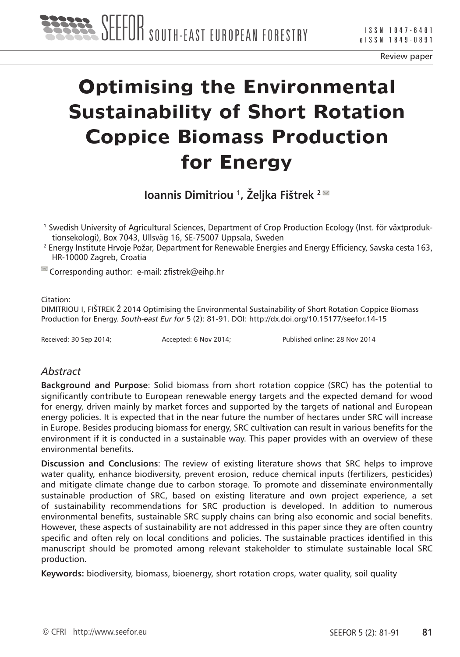

Review paper

# **Optimising the Environmental Sustainability of Short Rotation Coppice Biomass Production for Energy**

**Ioannis Dimitriou 1, Željka Fištrek <sup>2</sup>**

- 1 Swedish University of Agricultural Sciences, Department of Crop Production Ecology (Inst. för växtproduktionsekologi), Box 7043, Ullsväg 16, SE-75007 Uppsala, Sweden<br><sup>2</sup> Energy Institute Hrvoje Požar, Department for Renewable Energies and Energy Efficiency, Savska cesta 163,
- HR-10000 Zagreb, Croatia

 $\leq$  Corresponding author: e-mail: zfistrek@eihp.hr

#### Citation:

DIMITRIOU I, FIŠTREK Ž 2014 Optimising the Environmental Sustainability of Short Rotation Coppice Biomass Production for Energy. *South-east Eur for* 5 (2): 81-91. DOI: http://dx.doi.org/10.15177/seefor.14-15

Received: 30 Sep 2014; Accepted: 6 Nov 2014; Published online: 28 Nov 2014

## *Abstract*

**Background and Purpose**: Solid biomass from short rotation coppice (SRC) has the potential to significantly contribute to European renewable energy targets and the expected demand for wood for energy, driven mainly by market forces and supported by the targets of national and European energy policies. It is expected that in the near future the number of hectares under SRC will increase in Europe. Besides producing biomass for energy, SRC cultivation can result in various benefits for the environment if it is conducted in a sustainable way. This paper provides with an overview of these environmental benefits.

**Discussion and Conclusions**: The review of existing literature shows that SRC helps to improve water quality, enhance biodiversity, prevent erosion, reduce chemical inputs (fertilizers, pesticides) and mitigate climate change due to carbon storage. To promote and disseminate environmentally sustainable production of SRC, based on existing literature and own project experience, a set of sustainability recommendations for SRC production is developed. In addition to numerous environmental benefits, sustainable SRC supply chains can bring also economic and social benefits. However, these aspects of sustainability are not addressed in this paper since they are often country specific and often rely on local conditions and policies. The sustainable practices identified in this manuscript should be promoted among relevant stakeholder to stimulate sustainable local SRC production.

**Keywords:** biodiversity, biomass, bioenergy, short rotation crops, water quality, soil quality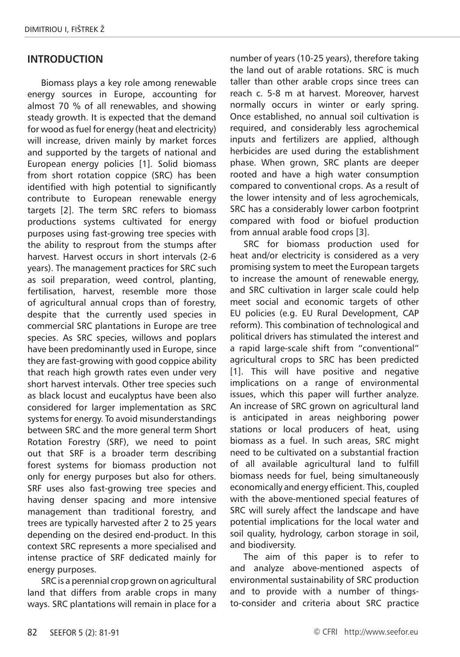## **INTRODUCTION**

Biomass plays a key role among renewable energy sources in Europe, accounting for almost 70 % of all renewables, and showing steady growth. It is expected that the demand for wood as fuel for energy (heat and electricity) will increase, driven mainly by market forces and supported by the targets of national and European energy policies [1]. Solid biomass from short rotation coppice (SRC) has been identified with high potential to significantly contribute to European renewable energy targets [2]. The term SRC refers to biomass productions systems cultivated for energy purposes using fast-growing tree species with the ability to resprout from the stumps after harvest. Harvest occurs in short intervals (2-6 years). The management practices for SRC such as soil preparation, weed control, planting, fertilisation, harvest, resemble more those of agricultural annual crops than of forestry, despite that the currently used species in commercial SRC plantations in Europe are tree species. As SRC species, willows and poplars have been predominantly used in Europe, since they are fast-growing with good coppice ability that reach high growth rates even under very short harvest intervals. Other tree species such as black locust and eucalyptus have been also considered for larger implementation as SRC systems for energy. To avoid misunderstandings between SRC and the more general term Short Rotation Forestry (SRF), we need to point out that SRF is a broader term describing forest systems for biomass production not only for energy purposes but also for others. SRF uses also fast-growing tree species and having denser spacing and more intensive management than traditional forestry, and trees are typically harvested after 2 to 25 years depending on the desired end-product. In this context SRC represents a more specialised and intense practice of SRF dedicated mainly for energy purposes.

SRC is a perennial crop grown on agricultural land that differs from arable crops in many ways. SRC plantations will remain in place for a

number of years (10-25 years), therefore taking the land out of arable rotations. SRC is much taller than other arable crops since trees can reach c. 5-8 m at harvest. Moreover, harvest normally occurs in winter or early spring. Once established, no annual soil cultivation is required, and considerably less agrochemical inputs and fertilizers are applied, although herbicides are used during the establishment phase. When grown, SRC plants are deeper rooted and have a high water consumption compared to conventional crops. As a result of the lower intensity and of less agrochemicals, SRC has a considerably lower carbon footprint compared with food or biofuel production from annual arable food crops [3].

SRC for biomass production used for heat and/or electricity is considered as a very promising system to meet the European targets to increase the amount of renewable energy, and SRC cultivation in larger scale could help meet social and economic targets of other EU policies (e.g. EU Rural Development, CAP reform). This combination of technological and political drivers has stimulated the interest and a rapid large-scale shift from "conventional" agricultural crops to SRC has been predicted [1]. This will have positive and negative implications on a range of environmental issues, which this paper will further analyze. An increase of SRC grown on agricultural land is anticipated in areas neighboring power stations or local producers of heat, using biomass as a fuel. In such areas, SRC might need to be cultivated on a substantial fraction of all available agricultural land to fulfill biomass needs for fuel, being simultaneously economically and energy efficient. This, coupled with the above-mentioned special features of SRC will surely affect the landscape and have potential implications for the local water and soil quality, hydrology, carbon storage in soil, and biodiversity.

The aim of this paper is to refer to and analyze above-mentioned aspects of environmental sustainability of SRC production and to provide with a number of thingsto-consider and criteria about SRC practice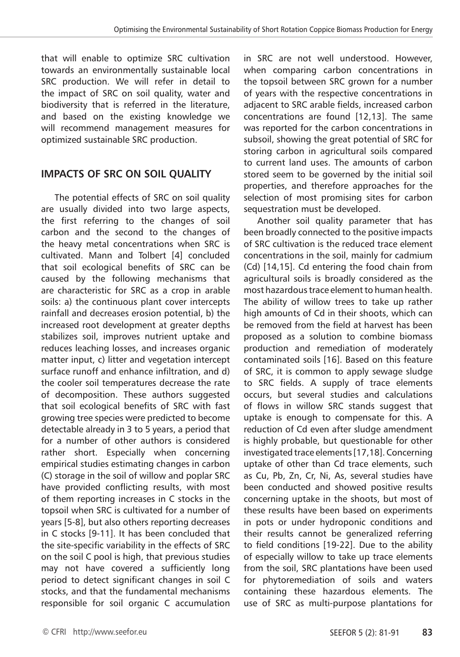that will enable to optimize SRC cultivation towards an environmentally sustainable local SRC production. We will refer in detail to the impact of SRC on soil quality, water and biodiversity that is referred in the literature, and based on the existing knowledge we will recommend management measures for optimized sustainable SRC production.

## **IMPACTS OF SRC ON SOIL QUALITY**

The potential effects of SRC on soil quality are usually divided into two large aspects, the first referring to the changes of soil carbon and the second to the changes of the heavy metal concentrations when SRC is cultivated. Mann and Tolbert [4] concluded that soil ecological benefits of SRC can be caused by the following mechanisms that are characteristic for SRC as a crop in arable soils: a) the continuous plant cover intercepts rainfall and decreases erosion potential, b) the increased root development at greater depths stabilizes soil, improves nutrient uptake and reduces leaching losses, and increases organic matter input, c) litter and vegetation intercept surface runoff and enhance infiltration, and d) the cooler soil temperatures decrease the rate of decomposition. These authors suggested that soil ecological benefits of SRC with fast growing tree species were predicted to become detectable already in 3 to 5 years, a period that for a number of other authors is considered rather short. Especially when concerning empirical studies estimating changes in carbon (C) storage in the soil of willow and poplar SRC have provided conflicting results, with most of them reporting increases in C stocks in the topsoil when SRC is cultivated for a number of years [5-8], but also others reporting decreases in C stocks [9-11]. It has been concluded that the site-specific variability in the effects of SRC on the soil C pool is high, that previous studies may not have covered a sufficiently long period to detect significant changes in soil C stocks, and that the fundamental mechanisms responsible for soil organic C accumulation

in SRC are not well understood. However, when comparing carbon concentrations in the topsoil between SRC grown for a number of years with the respective concentrations in adjacent to SRC arable fields, increased carbon concentrations are found [12,13]. The same was reported for the carbon concentrations in subsoil, showing the great potential of SRC for storing carbon in agricultural soils compared to current land uses. The amounts of carbon stored seem to be governed by the initial soil properties, and therefore approaches for the selection of most promising sites for carbon sequestration must be developed.

Another soil quality parameter that has been broadly connected to the positive impacts of SRC cultivation is the reduced trace element concentrations in the soil, mainly for cadmium (Cd) [14,15]. Cd entering the food chain from agricultural soils is broadly considered as the most hazardous trace element to human health. The ability of willow trees to take up rather high amounts of Cd in their shoots, which can be removed from the field at harvest has been proposed as a solution to combine biomass production and remediation of moderately contaminated soils [16]. Based on this feature of SRC, it is common to apply sewage sludge to SRC fields. A supply of trace elements occurs, but several studies and calculations of flows in willow SRC stands suggest that uptake is enough to compensate for this. A reduction of Cd even after sludge amendment is highly probable, but questionable for other investigated trace elements [17,18]. Concerning uptake of other than Cd trace elements, such as Cu, Pb, Zn, Cr, Ni, As, several studies have been conducted and showed positive results concerning uptake in the shoots, but most of these results have been based on experiments in pots or under hydroponic conditions and their results cannot be generalized referring to field conditions [19-22]. Due to the ability of especially willow to take up trace elements from the soil, SRC plantations have been used for phytoremediation of soils and waters containing these hazardous elements. The use of SRC as multi-purpose plantations for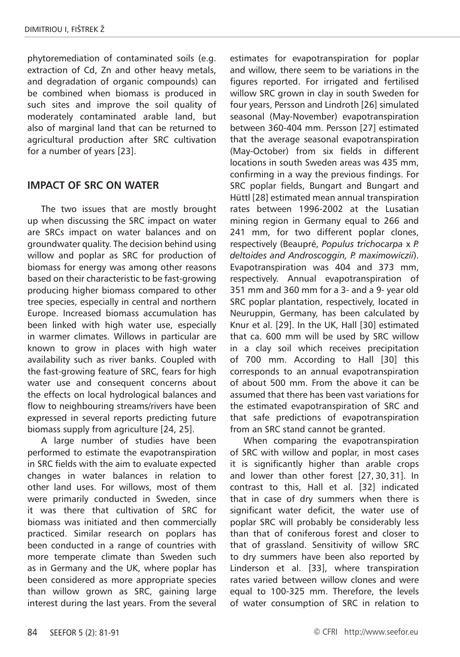phytoremediation of contaminated soils (e.g. extraction of Cd, Zn and other heavy metals, and degradation of organic compounds) can be combined when biomass is produced in such sites and improve the soil quality of moderately contaminated arable land, but also of marginal land that can be returned to agricultural production after SRC cultivation for a number of years [23].

## **IMPACT OF SRC ON WATER**

The two issues that are mostly brought up when discussing the SRC impact on water are SRCs impact on water balances and on groundwater quality. The decision behind using willow and poplar as SRC for production of biomass for energy was among other reasons based on their characteristic to be fast-growing producing higher biomass compared to other tree species, especially in central and northern Europe. Increased biomass accumulation has been linked with high water use, especially in warmer climates. Willows in particular are known to grow in places with high water availability such as river banks. Coupled with the fast-growing feature of SRC, fears for high water use and consequent concerns about the effects on local hydrological balances and flow to neighbouring streams/rivers have been expressed in several reports predicting future biomass supply from agriculture [24, 25].

A large number of studies have been performed to estimate the evapotranspiration in SRC fields with the aim to evaluate expected changes in water balances in relation to other land uses. For willows, most of them were primarily conducted in Sweden, since it was there that cultivation of SRC for biomass was initiated and then commercially practiced. Similar research on poplars has been conducted in a range of countries with more temperate climate than Sweden such as in Germany and the UK, where poplar has been considered as more appropriate species than willow grown as SRC, gaining large interest during the last years. From the several

estimates for evapotranspiration for poplar and willow, there seem to be variations in the figures reported. For irrigated and fertilised willow SRC grown in clay in south Sweden for four years, Persson and Lindroth [26] simulated seasonal (May-November) evapotranspiration between 360-404 mm. Persson [27] estimated that the average seasonal evapotranspiration (May-October) from six fields in different locations in south Sweden areas was 435 mm, confirming in a way the previous findings. For SRC poplar fields, Bungart and Bungart and Hüttl [28] estimated mean annual transpiration rates between 1996-2002 at the Lusatian mining region in Germany equal to 266 and 241 mm, for two different poplar clones, respectively (Beaupré, *Populus trichocarpa* x *P. deltoides and Androscoggin, P. maximowiczii*). Evapotranspiration was 404 and 373 mm, respectively. Annual evapotranspiration of 351 mm and 360 mm for a 3- and a 9- year old SRC poplar plantation, respectively, located in Neuruppin, Germany, has been calculated by Knur et al. [29]. In the UK, Hall [30] estimated that ca. 600 mm will be used by SRC willow in a clay soil which receives precipitation of 700 mm. According to Hall [30] this corresponds to an annual evapotranspiration of about 500 mm. From the above it can be assumed that there has been vast variations for the estimated evapotranspiration of SRC and that safe predictions of evapotranspiration from an SRC stand cannot be granted.

When comparing the evapotranspiration of SRC with willow and poplar, in most cases it is significantly higher than arable crops and lower than other forest [27, 30, 31]. In contrast to this, Hall et al. [32] indicated that in case of dry summers when there is significant water deficit, the water use of poplar SRC will probably be considerably less than that of coniferous forest and closer to that of grassland. Sensitivity of willow SRC to dry summers have been also reported by Linderson et al. [33], where transpiration rates varied between willow clones and were equal to 100-325 mm. Therefore, the levels of water consumption of SRC in relation to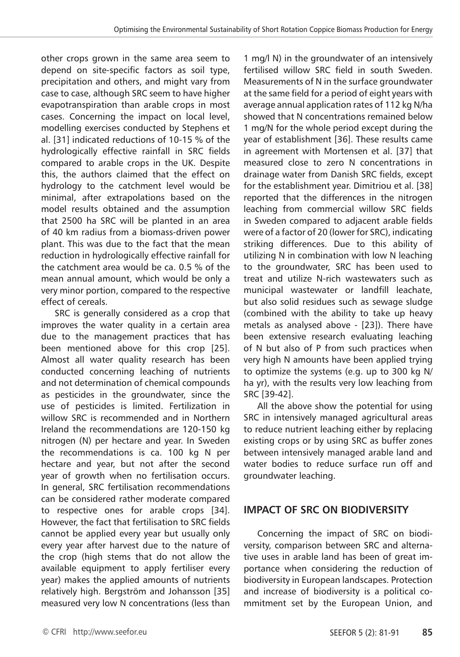other crops grown in the same area seem to depend on site-specific factors as soil type, precipitation and others, and might vary from case to case, although SRC seem to have higher evapotranspiration than arable crops in most cases. Concerning the impact on local level, modelling exercises conducted by Stephens et al. [31] indicated reductions of 10-15 % of the hydrologically effective rainfall in SRC fields compared to arable crops in the UK. Despite this, the authors claimed that the effect on hydrology to the catchment level would be minimal, after extrapolations based on the model results obtained and the assumption that 2500 ha SRC will be planted in an area of 40 km radius from a biomass-driven power plant. This was due to the fact that the mean reduction in hydrologically effective rainfall for the catchment area would be ca. 0.5 % of the mean annual amount, which would be only a very minor portion, compared to the respective effect of cereals.

SRC is generally considered as a crop that improves the water quality in a certain area due to the management practices that has been mentioned above for this crop [25]. Almost all water quality research has been conducted concerning leaching of nutrients and not determination of chemical compounds as pesticides in the groundwater, since the use of pesticides is limited. Fertilization in willow SRC is recommended and in Northern Ireland the recommendations are 120-150 kg nitrogen (N) per hectare and year. In Sweden the recommendations is ca. 100 kg N per hectare and year, but not after the second year of growth when no fertilisation occurs. In general, SRC fertilisation recommendations can be considered rather moderate compared to respective ones for arable crops [34]. However, the fact that fertilisation to SRC fields cannot be applied every year but usually only every year after harvest due to the nature of the crop (high stems that do not allow the available equipment to apply fertiliser every year) makes the applied amounts of nutrients relatively high. Bergström and Johansson [35] measured very low N concentrations (less than 1 mg/l N) in the groundwater of an intensively fertilised willow SRC field in south Sweden. Measurements of N in the surface groundwater at the same field for a period of eight years with average annual application rates of 112 kg N/ha showed that N concentrations remained below 1 mg/N for the whole period except during the year of establishment [36]. These results came in agreement with Mortensen et al. [37] that measured close to zero N concentrations in drainage water from Danish SRC fields, except for the establishment year. Dimitriou et al. [38] reported that the differences in the nitrogen leaching from commercial willow SRC fields in Sweden compared to adjacent arable fields were of a factor of 20 (lower for SRC), indicating striking differences. Due to this ability of utilizing N in combination with low N leaching to the groundwater, SRC has been used to treat and utilize N-rich wastewaters such as municipal wastewater or landfill leachate, but also solid residues such as sewage sludge (combined with the ability to take up heavy metals as analysed above - [23]). There have been extensive research evaluating leaching of N but also of P from such practices when very high N amounts have been applied trying to optimize the systems (e.g. up to 300 kg N/ ha yr), with the results very low leaching from SRC [39-42].

All the above show the potential for using SRC in intensively managed agricultural areas to reduce nutrient leaching either by replacing existing crops or by using SRC as buffer zones between intensively managed arable land and water bodies to reduce surface run off and groundwater leaching.

## **IMPACT OF SRC ON BIODIVERSITY**

Concerning the impact of SRC on biodiversity, comparison between SRC and alternative uses in arable land has been of great importance when considering the reduction of biodiversity in European landscapes. Protection and increase of biodiversity is a political commitment set by the European Union, and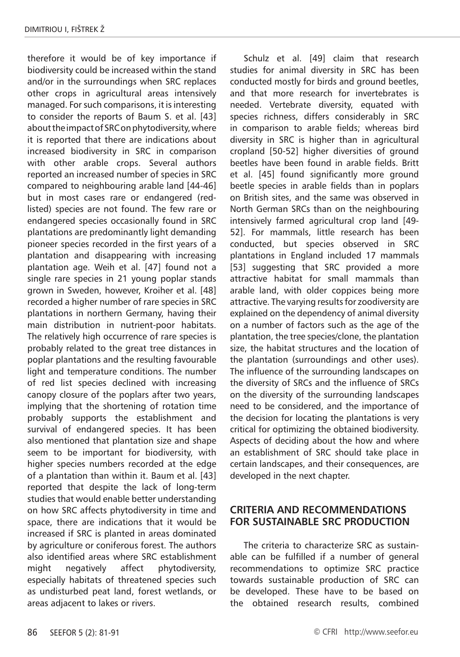therefore it would be of key importance if biodiversity could be increased within the stand and/or in the surroundings when SRC replaces other crops in agricultural areas intensively managed. For such comparisons, it is interesting to consider the reports of Baum S. et al. [43] about the impact of SRC on phytodiversity, where it is reported that there are indications about increased biodiversity in SRC in comparison with other arable crops. Several authors reported an increased number of species in SRC compared to neighbouring arable land [44-46] but in most cases rare or endangered (redlisted) species are not found. The few rare or endangered species occasionally found in SRC plantations are predominantly light demanding pioneer species recorded in the first years of a plantation and disappearing with increasing plantation age. Weih et al. [47] found not a single rare species in 21 young poplar stands grown in Sweden, however, Kroiher et al. [48] recorded a higher number of rare species in SRC plantations in northern Germany, having their main distribution in nutrient-poor habitats. The relatively high occurrence of rare species is probably related to the great tree distances in poplar plantations and the resulting favourable light and temperature conditions. The number of red list species declined with increasing canopy closure of the poplars after two years, implying that the shortening of rotation time probably supports the establishment and survival of endangered species. It has been also mentioned that plantation size and shape seem to be important for biodiversity, with higher species numbers recorded at the edge of a plantation than within it. Baum et al. [43] reported that despite the lack of long-term studies that would enable better understanding on how SRC affects phytodiversity in time and space, there are indications that it would be increased if SRC is planted in areas dominated by agriculture or coniferous forest. The authors also identified areas where SRC establishment might negatively affect phytodiversity, especially habitats of threatened species such as undisturbed peat land, forest wetlands, or areas adjacent to lakes or rivers.

Schulz et al. [49] claim that research studies for animal diversity in SRC has been conducted mostly for birds and ground beetles, and that more research for invertebrates is needed. Vertebrate diversity, equated with species richness, differs considerably in SRC in comparison to arable fields; whereas bird diversity in SRC is higher than in agricultural cropland [50-52] higher diversities of ground beetles have been found in arable fields. Britt et al. [45] found significantly more ground beetle species in arable fields than in poplars on British sites, and the same was observed in North German SRCs than on the neighbouring intensively farmed agricultural crop land [49- 52]. For mammals, little research has been conducted, but species observed in SRC plantations in England included 17 mammals [53] suggesting that SRC provided a more attractive habitat for small mammals than arable land, with older coppices being more attractive. The varying results for zoodiversity are explained on the dependency of animal diversity on a number of factors such as the age of the plantation, the tree species/clone, the plantation size, the habitat structures and the location of the plantation (surroundings and other uses). The influence of the surrounding landscapes on the diversity of SRCs and the influence of SRCs on the diversity of the surrounding landscapes need to be considered, and the importance of the decision for locating the plantations is very critical for optimizing the obtained biodiversity. Aspects of deciding about the how and where an establishment of SRC should take place in certain landscapes, and their consequences, are developed in the next chapter.

## **CRITERIA AND RECOMMENDATIONS FOR SUSTAINABLE SRC PRODUCTION**

The criteria to characterize SRC as sustainable can be fulfilled if a number of general recommendations to optimize SRC practice towards sustainable production of SRC can be developed. These have to be based on the obtained research results, combined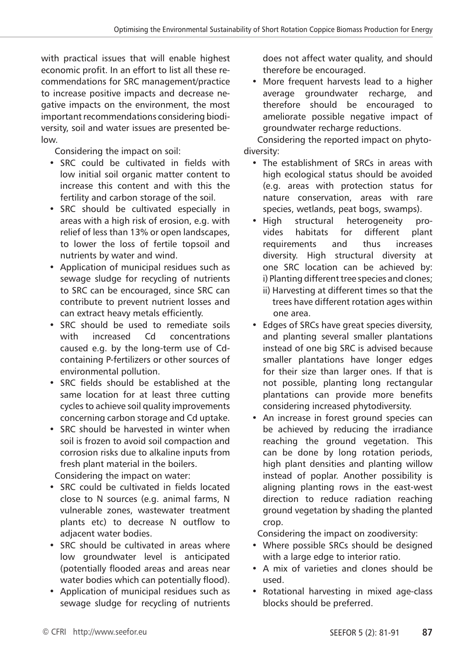with practical issues that will enable highest economic profit. In an effort to list all these recommendations for SRC management/practice to increase positive impacts and decrease negative impacts on the environment, the most important recommendations considering biodiversity, soil and water issues are presented below.

Considering the impact on soil:

- SRC could be cultivated in fields with low initial soil organic matter content to increase this content and with this the fertility and carbon storage of the soil.
- SRC should be cultivated especially in areas with a high risk of erosion, e.g. with relief of less than 13% or open landscapes, to lower the loss of fertile topsoil and nutrients by water and wind.
- Application of municipal residues such as sewage sludge for recycling of nutrients to SRC can be encouraged, since SRC can contribute to prevent nutrient losses and can extract heavy metals efficiently.
- SRC should be used to remediate soils with increased Cd concentrations caused e.g. by the long-term use of Cdcontaining P-fertilizers or other sources of environmental pollution.
- SRC fields should be established at the same location for at least three cutting cycles to achieve soil quality improvements concerning carbon storage and Cd uptake.
- SRC should be harvested in winter when soil is frozen to avoid soil compaction and corrosion risks due to alkaline inputs from fresh plant material in the boilers.

Considering the impact on water:

- SRC could be cultivated in fields located close to N sources (e.g. animal farms, N vulnerable zones, wastewater treatment plants etc) to decrease N outflow to adjacent water bodies.
- SRC should be cultivated in areas where low groundwater level is anticipated (potentially flooded areas and areas near water bodies which can potentially flood).
- Application of municipal residues such as sewage sludge for recycling of nutrients

does not affect water quality, and should therefore be encouraged.

• More frequent harvests lead to a higher average groundwater recharge, and therefore should be encouraged to ameliorate possible negative impact of groundwater recharge reductions.

Considering the reported impact on phytodiversity:

- The establishment of SRCs in areas with high ecological status should be avoided (e.g. areas with protection status for nature conservation, areas with rare species, wetlands, peat bogs, swamps).
- High structural heterogeneity provides habitats for different plant requirements and thus increases diversity. High structural diversity at one SRC location can be achieved by: i) Planting different tree species and clones;
	- ii) Harvesting at different times so that the trees have different rotation ages within one area.
- Edges of SRCs have great species diversity, and planting several smaller plantations instead of one big SRC is advised because smaller plantations have longer edges for their size than larger ones. If that is not possible, planting long rectangular plantations can provide more benefits considering increased phytodiversity.
- An increase in forest ground species can be achieved by reducing the irradiance reaching the ground vegetation. This can be done by long rotation periods, high plant densities and planting willow instead of poplar. Another possibility is aligning planting rows in the east-west direction to reduce radiation reaching ground vegetation by shading the planted crop.

Considering the impact on zoodiversity:

- Where possible SRCs should be designed with a large edge to interior ratio.
- A mix of varieties and clones should be used.
- Rotational harvesting in mixed age-class blocks should be preferred.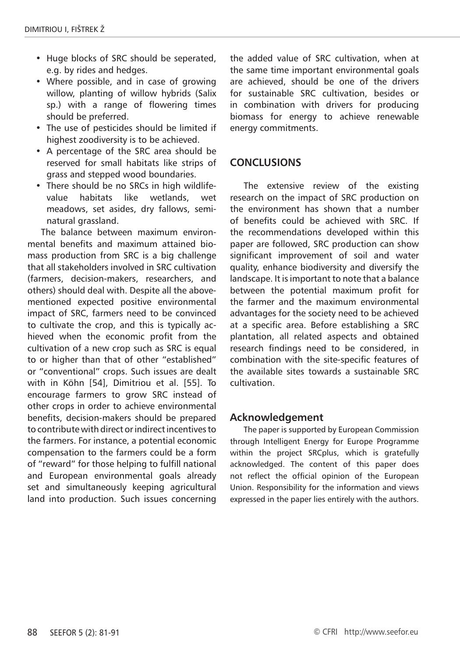- Huge blocks of SRC should be seperated, e.g. by rides and hedges.
- Where possible, and in case of growing willow, planting of willow hybrids (Salix sp.) with a range of flowering times should be preferred.
- The use of pesticides should be limited if highest zoodiversity is to be achieved.
- A percentage of the SRC area should be reserved for small habitats like strips of grass and stepped wood boundaries.
- There should be no SRCs in high wildlifevalue habitats like wetlands, wet meadows, set asides, dry fallows, seminatural grassland.

The balance between maximum environmental benefits and maximum attained biomass production from SRC is a big challenge that all stakeholders involved in SRC cultivation (farmers, decision-makers, researchers, and others) should deal with. Despite all the abovementioned expected positive environmental impact of SRC, farmers need to be convinced to cultivate the crop, and this is typically achieved when the economic profit from the cultivation of a new crop such as SRC is equal to or higher than that of other "established" or "conventional" crops. Such issues are dealt with in Köhn [54], Dimitriou et al. [55]. To encourage farmers to grow SRC instead of other crops in order to achieve environmental benefits, decision-makers should be prepared to contribute with direct or indirect incentives to the farmers. For instance, a potential economic compensation to the farmers could be a form of "reward" for those helping to fulfill national and European environmental goals already set and simultaneously keeping agricultural land into production. Such issues concerning

the added value of SRC cultivation, when at the same time important environmental goals are achieved, should be one of the drivers for sustainable SRC cultivation, besides or in combination with drivers for producing biomass for energy to achieve renewable energy commitments.

## **CONCLUSIONS**

The extensive review of the existing research on the impact of SRC production on the environment has shown that a number of benefits could be achieved with SRC. If the recommendations developed within this paper are followed, SRC production can show significant improvement of soil and water quality, enhance biodiversity and diversify the landscape. It is important to note that a balance between the potential maximum profit for the farmer and the maximum environmental advantages for the society need to be achieved at a specific area. Before establishing a SRC plantation, all related aspects and obtained research findings need to be considered, in combination with the site-specific features of the available sites towards a sustainable SRC cultivation.

#### **Acknowledgement**

The paper is supported by European Commission through Intelligent Energy for Europe Programme within the project SRCplus, which is gratefully acknowledged. The content of this paper does not reflect the official opinion of the European Union. Responsibility for the information and views expressed in the paper lies entirely with the authors.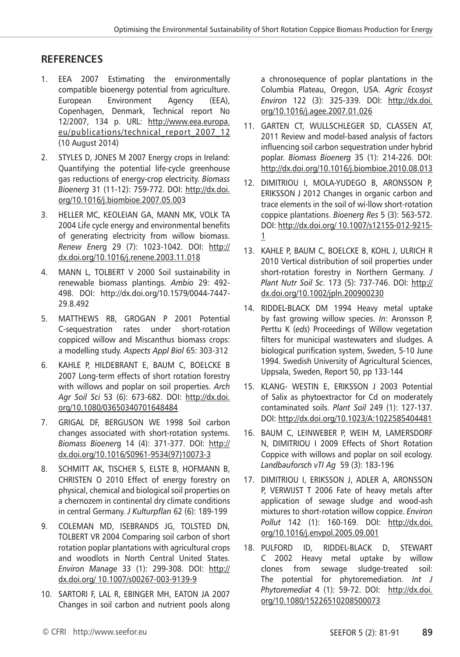## **REFERENCES**

- 1. EEA 2007 Estimating the environmentally compatible bioenergy potential from agriculture. European Environment Agency (EEA), Copenhagen, Denmark, Technical report No 12/2007, 134 p. URL: http://www.eea.europa. eu/publications/technical\_report\_2007\_12 (10 August 2014)
- 2. STYLES D, JONES M 2007 Energy crops in Ireland: Quantifying the potential life-cycle greenhouse gas reductions of energy-crop electricity. *Biomass Bioenerg* 31 (11-12): 759-772. DOI: http://dx.doi. org/10.1016/j.biombioe.2007.05.003
- 3. HELLER MC, KEOLEIAN GA, MANN MK, VOLK TA 2004 Life cycle energy and environmental benefits of generating electricity from willow biomass. *Renew Ener*g 29 (7): 1023-1042. DOI: http:// dx.doi.org/10.1016/j.renene.2003.11.018
- 4. MANN L, TOLBERT V 2000 Soil sustainability in renewable biomass plantings. *Ambio* 29: 492- 498. DOI: http://dx.doi.org/10.1579/0044-7447- 29.8.492
- 5. MATTHEWS RB, GROGAN P 2001 Potential C-sequestration rates under short-rotation coppiced willow and Miscanthus biomass crops: a modelling study. *Aspects Appl Biol* 65: 303-312
- 6. KAHLE P, HILDEBRANT E, BAUM C, BOELCKE B 2007 Long-term effects of short rotation forestry with willows and poplar on soil properties. *Arch Agr Soil Sci* 53 (6): 673-682. DOI: http://dx.doi. org/10.1080/03650340701648484
- 7. GRIGAL DF, BERGUSON WE 1998 Soil carbon changes associated with short-rotation systems. *Biomass Bioener*g 14 (4): 371-377. DOI: http:// dx.doi.org/10.1016/S0961-9534(97)10073-3
- 8. SCHMITT AK, TISCHER S, ELSTE B, HOFMANN B, CHRISTEN O 2010 Effect of energy forestry on physical, chemical and biological soil properties on a chernozem in continental dry climate conditions in central Germany. *J Kulturpflan* 62 (6): 189-199
- 9. COLEMAN MD, ISEBRANDS JG, TOLSTED DN, TOLBERT VR 2004 Comparing soil carbon of short rotation poplar plantations with agricultural crops and woodlots in North Central United States. *Environ Manage* 33 (1): 299-308. DOI: http:// dx.doi.org/ 10.1007/s00267-003-9139-9
- 10. SARTORI F, LAL R, EBINGER MH, EATON JA 2007 Changes in soil carbon and nutrient pools along

a chronosequence of poplar plantations in the Columbia Plateau, Oregon, USA. *Agric Ecosyst Environ* 122 (3): 325-339. DOI: http://dx.doi. org/10.1016/j.agee.2007.01.026

- 11. GARTEN CT, WULLSCHLEGER SD, CLASSEN AT, 2011 Review and model-based analysis of factors influencing soil carbon sequestration under hybrid poplar. *Biomass Bioenerg* 35 (1): 214-226. DOI: http://dx.doi.org/10.1016/j.biombioe.2010.08.013
- 12. DIMITRIOU I, MOLA-YUDEGO B, ARONSSON P, ERIKSSON J 2012 Changes in organic carbon and trace elements in the soil of wi-llow short-rotation coppice plantations. *Bioenerg Res* 5 (3): 563-572. DOI: http://dx.doi.org/ 10.1007/s12155-012-9215- 1
- 13. KAHLE P, BAUM C, BOELCKE B, KOHL J, ULRICH R 2010 Vertical distribution of soil properties under short-rotation forestry in Northern Germany. *J Plant Nutr Soil Sc*. 173 (5): 737-746. DOI: http:// dx.doi.org/10.1002/jpln.200900230
- 14. RIDDEL-BLACK DM 1994 Heavy metal uptake by fast growing willow species. *In*: Aronsson P, Perttu K (*eds*) Proceedings of Willow vegetation filters for municipal wastewaters and sludges. A biological purification system, Sweden, 5-10 June 1994. Swedish University of Agricultural Sciences, Uppsala, Sweden, Report 50, pp 133-144
- 15. KLANG- WESTIN E, ERIKSSON J 2003 Potential of Salix as phytoextractor for Cd on moderately contaminated soils. *Plant Soil* 249 (1): 127-137. DOI: http://dx.doi.org/10.1023/A:1022585404481
- 16. BAUM C, LEINWEBER P, WEIH M, LAMERSDORF N, DIMITRIOU I 2009 Effects of Short Rotation Coppice with willows and poplar on soil ecology. *Landbauforsch vTI Ag* 59 (3): 183-196
- 17. DIMITRIOU I, ERIKSSON J, ADLER A, ARONSSON P, VERWIJST T 2006 Fate of heavy metals after application of sewage sludge and wood-ash mixtures to short-rotation willow coppice. *Environ Pollut* 142 (1): 160-169. DOI: http://dx.doi. org/10.1016/j.envpol.2005.09.001
- 18. PULFORD ID, RIDDEL-BLACK D, STEWART C 2002 Heavy metal uptake by willow clones from sewage sludge-treated soil: The potential for phytoremediation. *Int J Phytoremediat* 4 (1): 59-72. DOI: http://dx.doi. org/10.1080/15226510208500073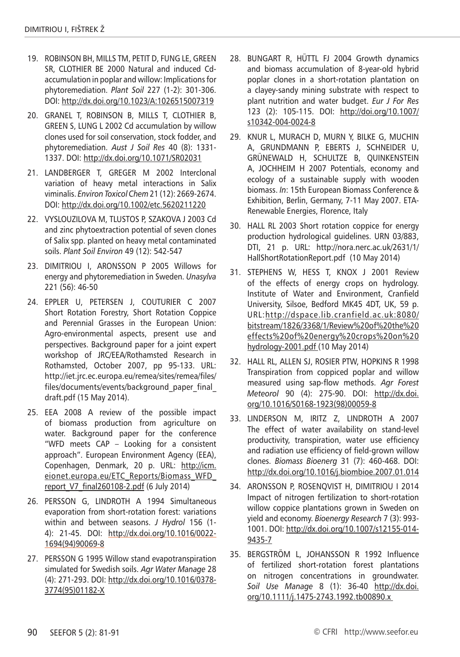- 19. ROBINSON BH, MILLS TM, PETIT D, FUNG LE, GREEN SR, CLOTHIER BE 2000 Natural and induced Cdaccumulation in poplar and willow: Implications for phytoremediation. *Plant Soil* 227 (1-2): 301-306. DOI: http://dx.doi.org/10.1023/A:1026515007319
- 20. GRANEL T, ROBINSON B, MILLS T, CLOTHIER B, GREEN S, LUNG L 2002 Cd accumulation by willow clones used for soil conservation, stock fodder, and phytoremediation. *Aust J Soil Res* 40 (8): 1331- 1337. DOI: http://dx.doi.org/10.1071/SR02031
- 21. LANDBERGER T, GREGER M 2002 Interclonal variation of heavy metal interactions in Salix viminalis. *Environ Toxicol Chem* 21 (12): 2669-2674. DOI: http://dx.doi.org/10.1002/etc.5620211220
- 22. VYSLOUZILOVA M, TLUSTOS P, SZAKOVA J 2003 Cd and zinc phytoextraction potential of seven clones of Salix spp. planted on heavy metal contaminated soils. *Plant Soil Environ* 49 (12): 542-547
- 23. DIMITRIOU I, ARONSSON P 2005 Willows for energy and phytoremediation in Sweden. *Unasylva* 221 (56): 46-50
- 24. EPPLER U, PETERSEN J, COUTURIER C 2007 Short Rotation Forestry, Short Rotation Coppice and Perennial Grasses in the European Union: Agro-environmental aspects, present use and perspectives. Background paper for a joint expert workshop of JRC/EEA/Rothamsted Research in Rothamsted, October 2007, pp 95-133. URL: http://iet.jrc.ec.europa.eu/remea/sites/remea/files/ files/documents/events/background\_paper\_final\_ draft.pdf (15 May 2014).
- 25. EEA 2008 A review of the possible impact of biomass production from agriculture on water. Background paper for the conference "WFD meets CAP – Looking for a consistent approach". European Environment Agency (EEA), Copenhagen, Denmark, 20 p. URL: http://icm. eionet.europa.eu/ETC\_Reports/Biomass\_WFD\_ report\_V7\_final260108-2.pdf (6 July 2014)
- 26. PERSSON G, LINDROTH A 1994 Simultaneous evaporation from short-rotation forest: variations within and between seasons. *J Hydrol* 156 (1- 4): 21-45. DOI: http://dx.doi.org/10.1016/0022- 1694(94)90069-8
- 27. PERSSON G 1995 Willow stand evapotranspiration simulated for Swedish soils. *Agr Water Manage* 28 (4): 271-293. DOI: http://dx.doi.org/10.1016/0378- 3774(95)01182-X
- 28. BUNGART R, HÜTTL FJ 2004 Growth dynamics and biomass accumulation of 8-year-old hybrid poplar clones in a short-rotation plantation on a clayey-sandy mining substrate with respect to plant nutrition and water budget. *Eur J For Res* 123 (2): 105-115. DOI: http://doi.org/10.1007/ s10342-004-0024-8
- 29. KNUR L, MURACH D, MURN Y, BILKE G, MUCHIN A, GRUNDMANN P, EBERTS J, SCHNEIDER U, GRÜNEWALD H, SCHULTZE B, QUINKENSTEIN A, JOCHHEIM H 2007 Potentials, economy and ecology of a sustainable supply with wooden biomass. *In*: 15th European Biomass Conference & Exhibition, Berlin, Germany, 7-11 May 2007. ETA-Renewable Energies, Florence, Italy
- 30. HALL RL 2003 Short rotation coppice for energy production hydrological guidelines. URN 03/883, DTI, 21 p. URL: http://nora.nerc.ac.uk/2631/1/ HallShortRotationReport.pdf (10 May 2014)
- 31. STEPHENS W, HESS T, KNOX J 2001 Review of the effects of energy crops on hydrology. Institute of Water and Environment, Cranfield University, Silsoe, Bedford MK45 4DT, UK, 59 p. URL:http://dspace.lib.cranfield.ac.uk:8080/ bitstream/1826/3368/1/Review%20of%20the%20 effects%20of%20energy%20crops%20on%20 hydrology-2001.pdf (10 May 2014)
- 32. HALL RL, ALLEN SJ, ROSIER PTW, HOPKINS R 1998 Transpiration from coppiced poplar and willow measured using sap-flow methods. *Agr Forest Meteorol* 90 (4): 275-90. DOI: http://dx.doi. org/10.1016/S0168-1923(98)00059-8
- 33. LINDERSON M, IRITZ Z, LINDROTH A 2007 The effect of water availability on stand-level productivity, transpiration, water use efficiency and radiation use efficiency of field-grown willow clones. *Biomass Bioenerg* 31 (7): 460-468. DOI: http://dx.doi.org/10.1016/j.biombioe.2007.01.014
- 34. ARONSSON P, ROSENQVIST H, DIMITRIOU I 2014 Impact of nitrogen fertilization to short-rotation willow coppice plantations grown in Sweden on yield and economy. *Bioenergy Research* 7 (3): 993- 1001. DOI: http://dx.doi.org/10.1007/s12155-014- 9435-7
- 35. BERGSTRÖM L, JOHANSSON R 1992 Influence of fertilized short-rotation forest plantations on nitrogen concentrations in groundwater. *Soil Use Manage* 8 (1): 36-40 http://dx.doi. org/10.1111/j.1475-2743.1992.tb00890.x